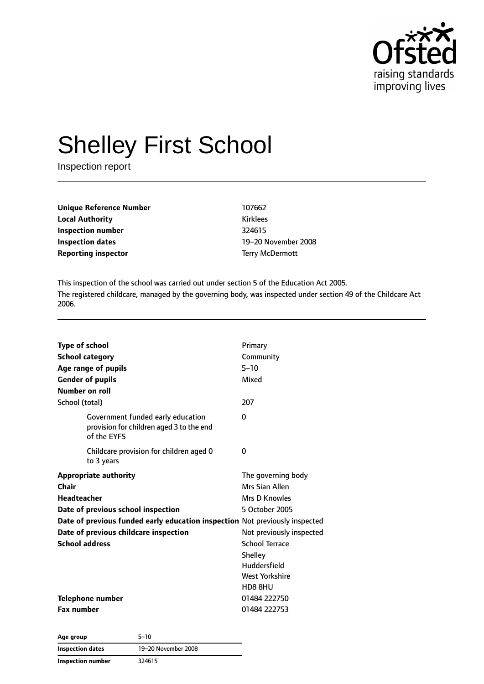

# Shelley First School

Inspection report

| <b>Unique Reference Number</b><br><b>Local Authority</b> | 107662          |
|----------------------------------------------------------|-----------------|
|                                                          | <b>Kirklees</b> |
| Inspection number                                        | 324615          |
| Inspection dates                                         | $19 - 20N$      |
| <b>Reporting inspector</b>                               | Terry M         |

**Inspection dates** 19–20 November 2008 **Terry McDermott** 

This inspection of the school was carried out under section 5 of the Education Act 2005. The registered childcare, managed by the governing body, was inspected under section 49 of the Childcare Act 2006.

| <b>Type of school</b>                                                                        | Primary                  |
|----------------------------------------------------------------------------------------------|--------------------------|
| <b>School category</b>                                                                       | Community                |
| Age range of pupils                                                                          | $5 - 10$                 |
| <b>Gender of pupils</b>                                                                      | Mixed                    |
| <b>Number on roll</b>                                                                        |                          |
| School (total)                                                                               | 207                      |
| Government funded early education<br>provision for children aged 3 to the end<br>of the EYFS | 0                        |
| Childcare provision for children aged 0<br>to 3 years                                        | 0                        |
| <b>Appropriate authority</b>                                                                 | The governing body       |
| Chair                                                                                        | Mrs Sian Allen           |
| <b>Headteacher</b>                                                                           | Mrs D Knowles            |
| Date of previous school inspection                                                           | 5 October 2005           |
| Date of previous funded early education inspection Not previously inspected                  |                          |
| Date of previous childcare inspection                                                        | Not previously inspected |
| <b>School address</b>                                                                        | <b>School Terrace</b>    |
|                                                                                              | Shelley                  |
|                                                                                              | Huddersfield             |
|                                                                                              | West Yorkshire           |
|                                                                                              | HD8 8HU                  |
| <b>Telephone number</b>                                                                      | 01484 222750             |
| <b>Fax number</b>                                                                            | 01484 222753             |

**Age group** 5–10 **Inspection dates** 19–20 November 2008 **Inspection number** 324615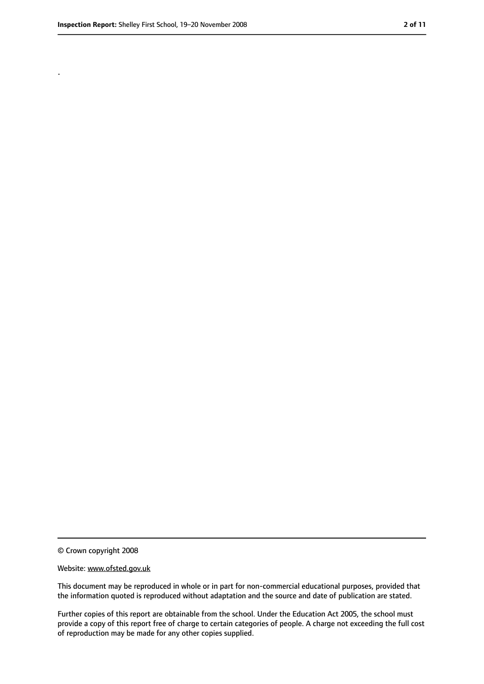.

<sup>©</sup> Crown copyright 2008

Website: www.ofsted.gov.uk

This document may be reproduced in whole or in part for non-commercial educational purposes, provided that the information quoted is reproduced without adaptation and the source and date of publication are stated.

Further copies of this report are obtainable from the school. Under the Education Act 2005, the school must provide a copy of this report free of charge to certain categories of people. A charge not exceeding the full cost of reproduction may be made for any other copies supplied.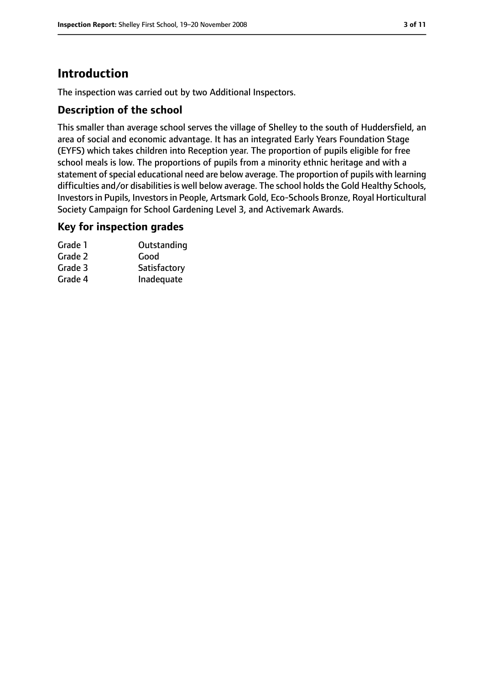# **Introduction**

The inspection was carried out by two Additional Inspectors.

## **Description of the school**

This smaller than average school serves the village of Shelley to the south of Huddersfield, an area of social and economic advantage. It has an integrated Early Years Foundation Stage (EYFS) which takes children into Reception year. The proportion of pupils eligible for free school meals is low. The proportions of pupils from a minority ethnic heritage and with a statement of special educational need are below average. The proportion of pupils with learning difficulties and/or disabilities is well below average. The school holds the Gold Healthy Schools, Investorsin Pupils, Investorsin People, Artsmark Gold, Eco-Schools Bronze, Royal Horticultural Society Campaign for School Gardening Level 3, and Activemark Awards.

## **Key for inspection grades**

| Grade 1 | Outstanding  |
|---------|--------------|
| Grade 2 | Good         |
| Grade 3 | Satisfactory |
| Grade 4 | Inadequate   |
|         |              |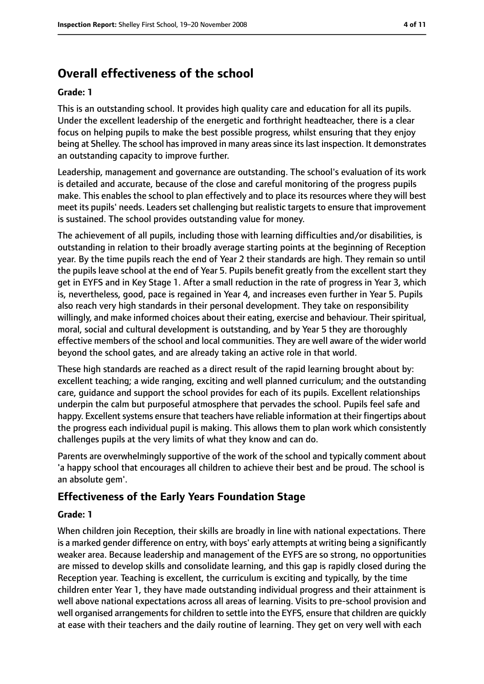# **Overall effectiveness of the school**

#### **Grade: 1**

This is an outstanding school. It provides high quality care and education for all its pupils. Under the excellent leadership of the energetic and forthright headteacher, there is a clear focus on helping pupils to make the best possible progress, whilst ensuring that they enjoy being at Shelley. The school has improved in many areas since its last inspection. It demonstrates an outstanding capacity to improve further.

Leadership, management and governance are outstanding. The school's evaluation of its work is detailed and accurate, because of the close and careful monitoring of the progress pupils make. This enables the school to plan effectively and to place its resources where they will best meet its pupils' needs. Leaders set challenging but realistic targets to ensure that improvement is sustained. The school provides outstanding value for money.

The achievement of all pupils, including those with learning difficulties and/or disabilities, is outstanding in relation to their broadly average starting points at the beginning of Reception year. By the time pupils reach the end of Year 2 their standards are high. They remain so until the pupils leave school at the end of Year 5. Pupils benefit greatly from the excellent start they get in EYFS and in Key Stage 1. After a small reduction in the rate of progress in Year 3, which is, nevertheless, good, pace is regained in Year 4, and increases even further in Year 5. Pupils also reach very high standards in their personal development. They take on responsibility willingly, and make informed choices about their eating, exercise and behaviour. Their spiritual, moral, social and cultural development is outstanding, and by Year 5 they are thoroughly effective members of the school and local communities. They are well aware of the wider world beyond the school gates, and are already taking an active role in that world.

These high standards are reached as a direct result of the rapid learning brought about by: excellent teaching; a wide ranging, exciting and well planned curriculum; and the outstanding care, guidance and support the school provides for each of its pupils. Excellent relationships underpin the calm but purposeful atmosphere that pervades the school. Pupils feel safe and happy. Excellent systems ensure that teachers have reliable information at their fingertips about the progress each individual pupil is making. This allows them to plan work which consistently challenges pupils at the very limits of what they know and can do.

Parents are overwhelmingly supportive of the work of the school and typically comment about 'a happy school that encourages all children to achieve their best and be proud. The school is an absolute gem'.

## **Effectiveness of the Early Years Foundation Stage**

#### **Grade: 1**

When children join Reception, their skills are broadly in line with national expectations. There is a marked gender difference on entry, with boys' early attempts at writing being a significantly weaker area. Because leadership and management of the EYFS are so strong, no opportunities are missed to develop skills and consolidate learning, and this gap is rapidly closed during the Reception year. Teaching is excellent, the curriculum is exciting and typically, by the time children enter Year 1, they have made outstanding individual progress and their attainment is well above national expectations across all areas of learning. Visits to pre-school provision and well organised arrangements for children to settle into the EYFS, ensure that children are quickly at ease with their teachers and the daily routine of learning. They get on very well with each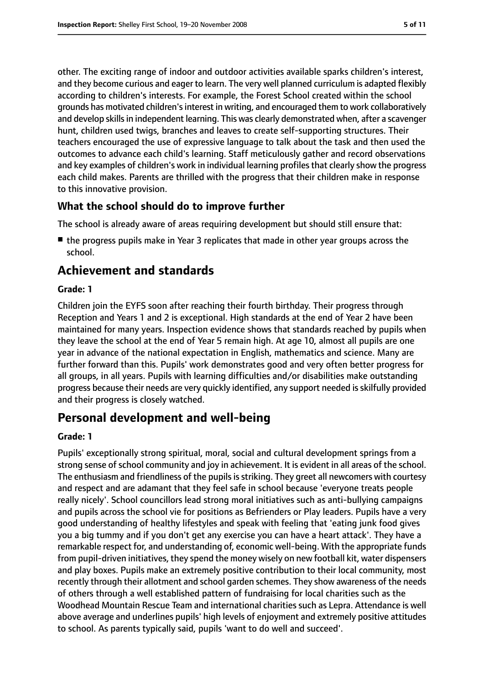other. The exciting range of indoor and outdoor activities available sparks children's interest, and they become curious and eager to learn. The very well planned curriculum is adapted flexibly according to children's interests. For example, the Forest School created within the school grounds has motivated children'sinterest in writing, and encouraged them to work collaboratively and develop skills in independent learning. This was clearly demonstrated when, after a scavenger hunt, children used twigs, branches and leaves to create self-supporting structures. Their teachers encouraged the use of expressive language to talk about the task and then used the outcomes to advance each child's learning. Staff meticulously gather and record observations and key examples of children's work in individual learning profiles that clearly show the progress each child makes. Parents are thrilled with the progress that their children make in response to this innovative provision.

## **What the school should do to improve further**

The school is already aware of areas requiring development but should still ensure that:

■ the progress pupils make in Year 3 replicates that made in other year groups across the school.

# **Achievement and standards**

#### **Grade: 1**

Children join the EYFS soon after reaching their fourth birthday. Their progress through Reception and Years 1 and 2 is exceptional. High standards at the end of Year 2 have been maintained for many years. Inspection evidence shows that standards reached by pupils when they leave the school at the end of Year 5 remain high. At age 10, almost all pupils are one year in advance of the national expectation in English, mathematics and science. Many are further forward than this. Pupils' work demonstrates good and very often better progress for all groups, in all years. Pupils with learning difficulties and/or disabilities make outstanding progress because their needs are very quickly identified, any support needed isskilfully provided and their progress is closely watched.

# **Personal development and well-being**

#### **Grade: 1**

Pupils' exceptionally strong spiritual, moral, social and cultural development springs from a strong sense of school community and joy in achievement. It is evident in all areas of the school. The enthusiasm and friendliness of the pupils is striking. They greet all new comers with courtesy and respect and are adamant that they feel safe in school because 'everyone treats people really nicely'. School councillors lead strong moral initiatives such as anti-bullying campaigns and pupils across the school vie for positions as Befrienders or Play leaders. Pupils have a very good understanding of healthy lifestyles and speak with feeling that 'eating junk food gives you a big tummy and if you don't get any exercise you can have a heart attack'. They have a remarkable respect for, and understanding of, economic well-being. With the appropriate funds from pupil-driven initiatives, they spend the money wisely on new football kit, water dispensers and play boxes. Pupils make an extremely positive contribution to their local community, most recently through their allotment and school garden schemes. They show awareness of the needs of others through a well established pattern of fundraising for local charities such as the Woodhead Mountain Rescue Team and international charities such as Lepra. Attendance is well above average and underlines pupils' high levels of enjoyment and extremely positive attitudes to school. As parents typically said, pupils 'want to do well and succeed'.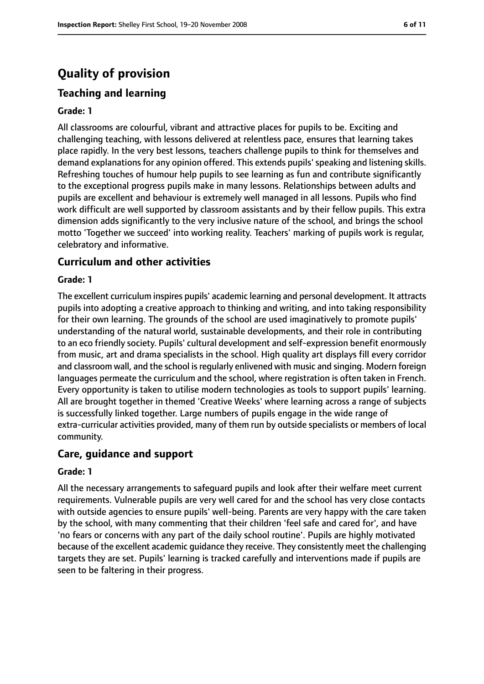# **Quality of provision**

# **Teaching and learning**

#### **Grade: 1**

All classrooms are colourful, vibrant and attractive places for pupils to be. Exciting and challenging teaching, with lessons delivered at relentless pace, ensures that learning takes place rapidly. In the very best lessons, teachers challenge pupils to think for themselves and demand explanations for any opinion offered. This extends pupils' speaking and listening skills. Refreshing touches of humour help pupils to see learning as fun and contribute significantly to the exceptional progress pupils make in many lessons. Relationships between adults and pupils are excellent and behaviour is extremely well managed in all lessons. Pupils who find work difficult are well supported by classroom assistants and by their fellow pupils. This extra dimension adds significantly to the very inclusive nature of the school, and brings the school motto 'Together we succeed' into working reality. Teachers' marking of pupils work is regular, celebratory and informative.

#### **Curriculum and other activities**

#### **Grade: 1**

The excellent curriculum inspires pupils' academic learning and personal development. It attracts pupils into adopting a creative approach to thinking and writing, and into taking responsibility for their own learning. The grounds of the school are used imaginatively to promote pupils' understanding of the natural world, sustainable developments, and their role in contributing to an eco friendly society. Pupils' cultural development and self-expression benefit enormously from music, art and drama specialists in the school. High quality art displays fill every corridor and classroom wall, and the school is regularly enlivened with music and singing. Modern foreign languages permeate the curriculum and the school, where registration is often taken in French. Every opportunity is taken to utilise modern technologies as tools to support pupils' learning. All are brought together in themed 'Creative Weeks' where learning across a range of subjects is successfully linked together. Large numbers of pupils engage in the wide range of extra-curricular activities provided, many of them run by outside specialists or members of local community.

#### **Care, guidance and support**

#### **Grade: 1**

All the necessary arrangements to safeguard pupils and look after their welfare meet current requirements. Vulnerable pupils are very well cared for and the school has very close contacts with outside agencies to ensure pupils' well-being. Parents are very happy with the care taken by the school, with many commenting that their children 'feel safe and cared for', and have 'no fears or concerns with any part of the daily school routine'. Pupils are highly motivated because of the excellent academic guidance they receive. They consistently meet the challenging targets they are set. Pupils' learning is tracked carefully and interventions made if pupils are seen to be faltering in their progress.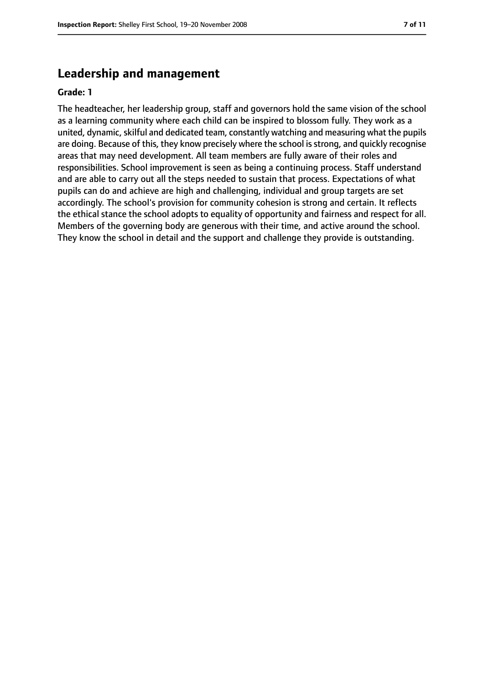## **Leadership and management**

#### **Grade: 1**

The headteacher, her leadership group, staff and governors hold the same vision of the school as a learning community where each child can be inspired to blossom fully. They work as a united, dynamic, skilful and dedicated team, constantly watching and measuring what the pupils are doing. Because of this, they know precisely where the school is strong, and quickly recognise areas that may need development. All team members are fully aware of their roles and responsibilities. School improvement is seen as being a continuing process. Staff understand and are able to carry out all the steps needed to sustain that process. Expectations of what pupils can do and achieve are high and challenging, individual and group targets are set accordingly. The school's provision for community cohesion is strong and certain. It reflects the ethical stance the school adopts to equality of opportunity and fairness and respect for all. Members of the governing body are generous with their time, and active around the school. They know the school in detail and the support and challenge they provide is outstanding.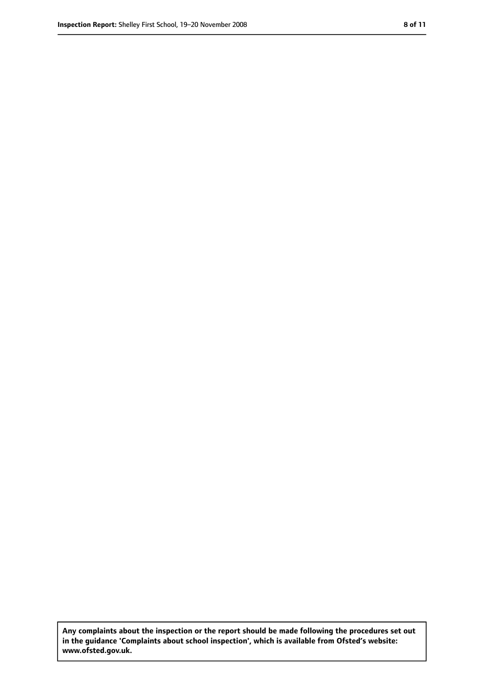**Any complaints about the inspection or the report should be made following the procedures set out in the guidance 'Complaints about school inspection', which is available from Ofsted's website: www.ofsted.gov.uk.**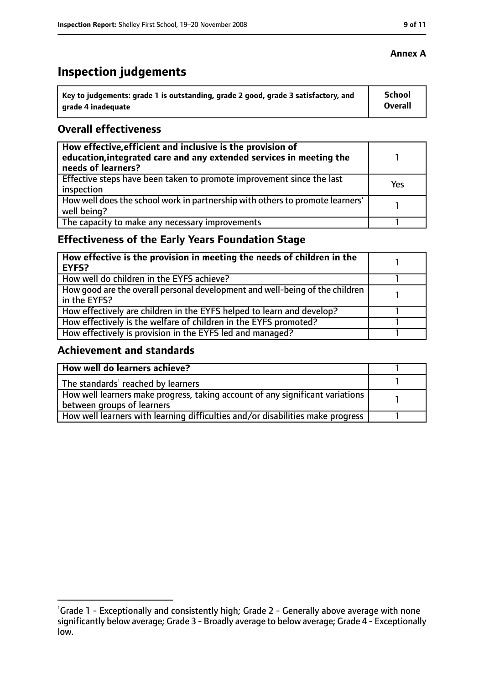# **Inspection judgements**

| \ Key to judgements: grade 1 is outstanding, grade 2 good, grade 3 satisfactory, and | <b>School</b>  |
|--------------------------------------------------------------------------------------|----------------|
| arade 4 inadequate                                                                   | <b>Overall</b> |

#### **Overall effectiveness**

| How effective, efficient and inclusive is the provision of<br>education, integrated care and any extended services in meeting the<br>needs of learners? |     |
|---------------------------------------------------------------------------------------------------------------------------------------------------------|-----|
| Effective steps have been taken to promote improvement since the last<br>inspection                                                                     | Yes |
| How well does the school work in partnership with others to promote learners'<br>well being?                                                            |     |
| The capacity to make any necessary improvements                                                                                                         |     |

# **Effectiveness of the Early Years Foundation Stage**

| How effective is the provision in meeting the needs of children in the<br>l EYFS?            |  |
|----------------------------------------------------------------------------------------------|--|
| How well do children in the EYFS achieve?                                                    |  |
| How good are the overall personal development and well-being of the children<br>in the EYFS? |  |
| How effectively are children in the EYFS helped to learn and develop?                        |  |
| How effectively is the welfare of children in the EYFS promoted?                             |  |
| How effectively is provision in the EYFS led and managed?                                    |  |

#### **Achievement and standards**

| How well do learners achieve?                                                  |  |
|--------------------------------------------------------------------------------|--|
| The standards <sup>1</sup> reached by learners                                 |  |
| How well learners make progress, taking account of any significant variations  |  |
| between groups of learners                                                     |  |
| How well learners with learning difficulties and/or disabilities make progress |  |

## **Annex A**

<sup>&</sup>lt;sup>1</sup>Grade 1 - Exceptionally and consistently high; Grade 2 - Generally above average with none significantly below average; Grade 3 - Broadly average to below average; Grade 4 - Exceptionally low.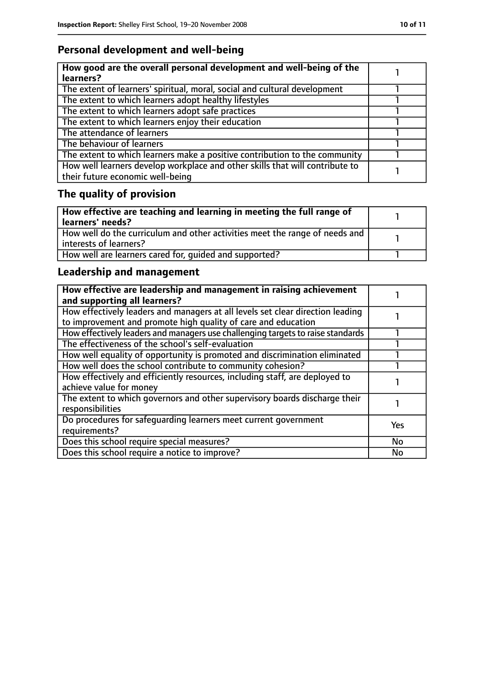# **Personal development and well-being**

| How good are the overall personal development and well-being of the<br>learners?                                 |  |
|------------------------------------------------------------------------------------------------------------------|--|
| The extent of learners' spiritual, moral, social and cultural development                                        |  |
| The extent to which learners adopt healthy lifestyles                                                            |  |
| The extent to which learners adopt safe practices                                                                |  |
| The extent to which learners enjoy their education                                                               |  |
| The attendance of learners                                                                                       |  |
| The behaviour of learners                                                                                        |  |
| The extent to which learners make a positive contribution to the community                                       |  |
| How well learners develop workplace and other skills that will contribute to<br>their future economic well-being |  |

# **The quality of provision**

| How effective are teaching and learning in meeting the full range of<br>learners' needs?              |  |
|-------------------------------------------------------------------------------------------------------|--|
| How well do the curriculum and other activities meet the range of needs and<br>interests of learners? |  |
| How well are learners cared for, quided and supported?                                                |  |

# **Leadership and management**

| How effective are leadership and management in raising achievement<br>and supporting all learners?                                              |            |
|-------------------------------------------------------------------------------------------------------------------------------------------------|------------|
| How effectively leaders and managers at all levels set clear direction leading<br>to improvement and promote high quality of care and education |            |
| How effectively leaders and managers use challenging targets to raise standards                                                                 |            |
| The effectiveness of the school's self-evaluation                                                                                               |            |
| How well equality of opportunity is promoted and discrimination eliminated                                                                      |            |
| How well does the school contribute to community cohesion?                                                                                      |            |
| How effectively and efficiently resources, including staff, are deployed to<br>achieve value for money                                          |            |
| The extent to which governors and other supervisory boards discharge their<br>responsibilities                                                  |            |
| Do procedures for safequarding learners meet current government<br>requirements?                                                                | <b>Yes</b> |
| Does this school require special measures?                                                                                                      | <b>No</b>  |
| Does this school require a notice to improve?                                                                                                   | No         |